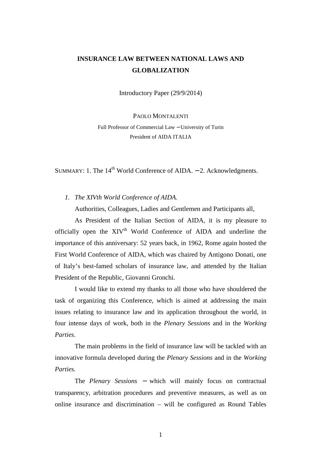## **INSURANCE LAW BETWEEN NATIONAL LAWS AND GLOBALIZATION**

Introductory Paper (29/9/2014)

PAOLO MONTALENTI

Full Professor of Commercial Law − University of Turin President of AIDA ITALIA

SUMMARY: 1. The  $14<sup>th</sup>$  World Conference of AIDA. – 2. Acknowledgments.

*1. The XIVth World Conference of AIDA.* 

Authorities, Colleagues, Ladies and Gentlemen and Participants all,

As President of the Italian Section of AIDA, it is my pleasure to officially open the XIV<sup>th</sup> World Conference of AIDA and underline the importance of this anniversary: 52 years back, in 1962, Rome again hosted the First World Conference of AIDA, which was chaired by Antigono Donati, one of Italy's best-famed scholars of insurance law, and attended by the Italian President of the Republic, Giovanni Gronchi.

I would like to extend my thanks to all those who have shouldered the task of organizing this Conference, which is aimed at addressing the main issues relating to insurance law and its application throughout the world, in four intense days of work, both in the *Plenary Sessions* and in the *Working Parties.*

The main problems in the field of insurance law will be tackled with an innovative formula developed during the *Plenary Sessions* and in the *Working Parties.*

The *Plenary Sessions* <sup>−</sup> which will mainly focus on contractual transparency, arbitration procedures and preventive measures, as well as on online insurance and discrimination – will be configured as Round Tables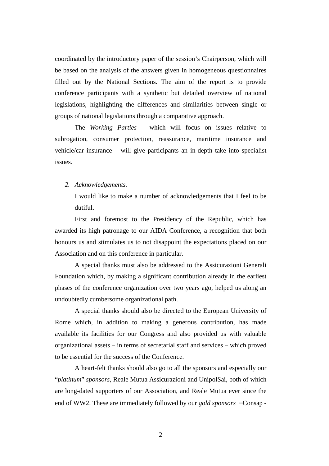coordinated by the introductory paper of the session's Chairperson, which will be based on the analysis of the answers given in homogeneous questionnaires filled out by the National Sections. The aim of the report is to provide conference participants with a synthetic but detailed overview of national legislations, highlighting the differences and similarities between single or groups of national legislations through a comparative approach.

The *Working Parties* – which will focus on issues relative to subrogation, consumer protection, reassurance, maritime insurance and vehicle/car insurance – will give participants an in-depth take into specialist issues.

## *2. Acknowledgements.*

I would like to make a number of acknowledgements that I feel to be dutiful.

First and foremost to the Presidency of the Republic, which has awarded its high patronage to our AIDA Conference, a recognition that both honours us and stimulates us to not disappoint the expectations placed on our Association and on this conference in particular.

A special thanks must also be addressed to the Assicurazioni Generali Foundation which, by making a significant contribution already in the earliest phases of the conference organization over two years ago, helped us along an undoubtedly cumbersome organizational path.

A special thanks should also be directed to the European University of Rome which, in addition to making a generous contribution, has made available its facilities for our Congress and also provided us with valuable organizational assets – in terms of secretarial staff and services – which proved to be essential for the success of the Conference.

A heart-felt thanks should also go to all the sponsors and especially our "*platinum*" *sponsors,* Reale Mutua Assicurazioni and UnipolSai, both of which are long-dated supporters of our Association, and Reale Mutua ever since the end of WW2. These are immediately followed by our *gold sponsors* <sup>−</sup> Consap -